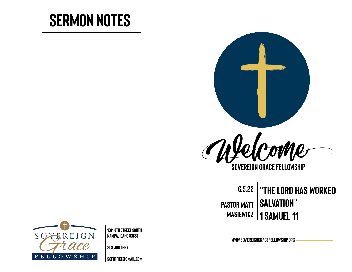# **Sermon Notes**



**Sovereign Grace Fellowship**

**6.5.22 Pastor Matt masiewicz 1 Samuel 11 "The LORD has worked salvation"** 



**1311 6th Street south Nampa, Idaho 83651** 

**208.466.0937** 

**[sgfoffice@gmail.com](mailto:sgfoffice@gmail.com)**

**www.SovereignGraceFellowship.org**